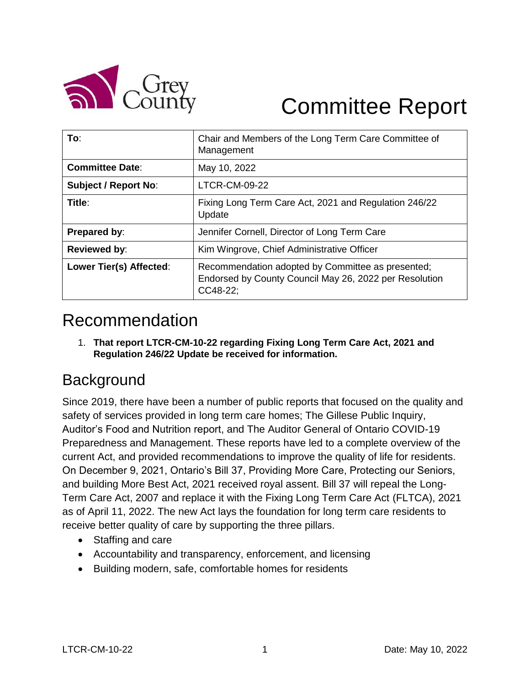

# Committee Report

| To:                         | Chair and Members of the Long Term Care Committee of<br>Management                                                      |
|-----------------------------|-------------------------------------------------------------------------------------------------------------------------|
| <b>Committee Date:</b>      | May 10, 2022                                                                                                            |
| <b>Subject / Report No:</b> | <b>LTCR-CM-09-22</b>                                                                                                    |
| Title:                      | Fixing Long Term Care Act, 2021 and Regulation 246/22<br>Update                                                         |
| Prepared by:                | Jennifer Cornell, Director of Long Term Care                                                                            |
| Reviewed by:                | Kim Wingrove, Chief Administrative Officer                                                                              |
| Lower Tier(s) Affected:     | Recommendation adopted by Committee as presented;<br>Endorsed by County Council May 26, 2022 per Resolution<br>CC48-22: |

# Recommendation

1. **That report LTCR-CM-10-22 regarding Fixing Long Term Care Act, 2021 and Regulation 246/22 Update be received for information.** 

# **Background**

Since 2019, there have been a number of public reports that focused on the quality and safety of services provided in long term care homes; The Gillese Public Inquiry, Auditor's Food and Nutrition report, and The Auditor General of Ontario COVID-19 Preparedness and Management. These reports have led to a complete overview of the current Act, and provided recommendations to improve the quality of life for residents. On December 9, 2021, Ontario's Bill 37, Providing More Care, Protecting our Seniors, and building More Best Act, 2021 received royal assent. Bill 37 will repeal the Long-Term Care Act, 2007 and replace it with the Fixing Long Term Care Act (FLTCA), 2021 as of April 11, 2022. The new Act lays the foundation for long term care residents to receive better quality of care by supporting the three pillars.

- Staffing and care
- Accountability and transparency, enforcement, and licensing
- Building modern, safe, comfortable homes for residents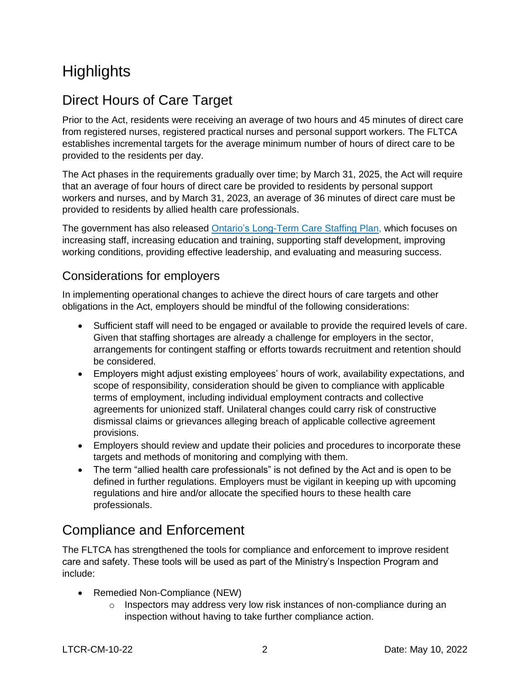# **Highlights**

## Direct Hours of Care Target

Prior to the Act, residents were receiving an average of two hours and 45 minutes of direct care from registered nurses, registered practical nurses and personal support workers. The FLTCA establishes incremental targets for the average minimum number of hours of direct care to be provided to the residents per day.

The Act phases in the requirements gradually over time; by March 31, 2025, the Act will require that an average of four hours of direct care be provided to residents by personal support workers and nurses, and by March 31, 2023, an average of 36 minutes of direct care must be provided to residents by allied health care professionals.

The government has also released [Ontario's Long-Term Care Staffing Plan,](https://www.ontario.ca/page/better-place-live-better-place-work-ontarios-long-term-care-staffing-plan) which focuses on increasing staff, increasing education and training, supporting staff development, improving working conditions, providing effective leadership, and evaluating and measuring success.

#### Considerations for employers

In implementing operational changes to achieve the direct hours of care targets and other obligations in the Act, employers should be mindful of the following considerations:

- Sufficient staff will need to be engaged or available to provide the required levels of care. Given that staffing shortages are already a challenge for employers in the sector, arrangements for contingent staffing or efforts towards recruitment and retention should be considered.
- Employers might adjust existing employees' hours of work, availability expectations, and scope of responsibility, consideration should be given to compliance with applicable terms of employment, including individual employment contracts and collective agreements for unionized staff. Unilateral changes could carry risk of constructive dismissal claims or grievances alleging breach of applicable collective agreement provisions.
- Employers should review and update their policies and procedures to incorporate these targets and methods of monitoring and complying with them.
- The term "allied health care professionals" is not defined by the Act and is open to be defined in further regulations. Employers must be vigilant in keeping up with upcoming regulations and hire and/or allocate the specified hours to these health care professionals.

#### Compliance and Enforcement

The FLTCA has strengthened the tools for compliance and enforcement to improve resident care and safety. These tools will be used as part of the Ministry's Inspection Program and include:

- Remedied Non-Compliance (NEW)
	- o Inspectors may address very low risk instances of non-compliance during an inspection without having to take further compliance action.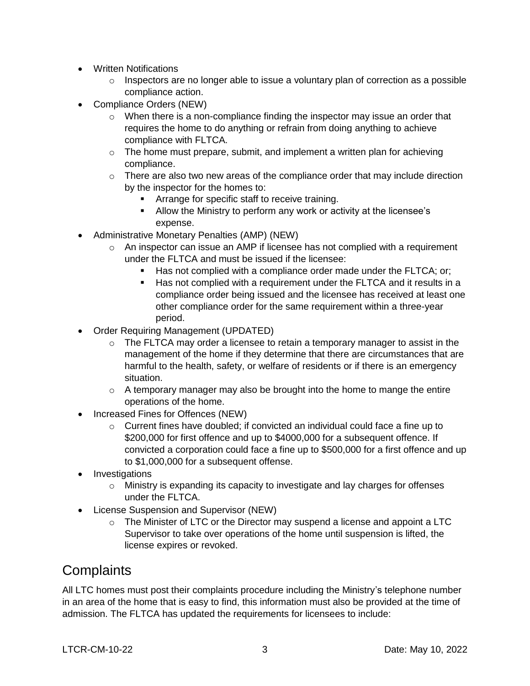- Written Notifications
	- $\circ$  Inspectors are no longer able to issue a voluntary plan of correction as a possible compliance action.
- Compliance Orders (NEW)
	- $\circ$  When there is a non-compliance finding the inspector may issue an order that requires the home to do anything or refrain from doing anything to achieve compliance with FLTCA.
	- $\circ$  The home must prepare, submit, and implement a written plan for achieving compliance.
	- $\circ$  There are also two new areas of the compliance order that may include direction by the inspector for the homes to:
		- Arrange for specific staff to receive training.
		- Allow the Ministry to perform any work or activity at the licensee's expense.
- Administrative Monetary Penalties (AMP) (NEW)
	- $\circ$  An inspector can issue an AMP if licensee has not complied with a requirement under the FLTCA and must be issued if the licensee:
		- Has not complied with a compliance order made under the FLTCA; or;
		- Has not complied with a requirement under the FLTCA and it results in a compliance order being issued and the licensee has received at least one other compliance order for the same requirement within a three-year period.
- Order Requiring Management (UPDATED)
	- $\circ$  The FLTCA may order a licensee to retain a temporary manager to assist in the management of the home if they determine that there are circumstances that are harmful to the health, safety, or welfare of residents or if there is an emergency situation.
	- $\circ$  A temporary manager may also be brought into the home to mange the entire operations of the home.
- Increased Fines for Offences (NEW)
	- $\circ$  Current fines have doubled; if convicted an individual could face a fine up to \$200,000 for first offence and up to \$4000,000 for a subsequent offence. If convicted a corporation could face a fine up to \$500,000 for a first offence and up to \$1,000,000 for a subsequent offense.
- Investigations
	- o Ministry is expanding its capacity to investigate and lay charges for offenses under the FLTCA.
- License Suspension and Supervisor (NEW)
	- o The Minister of LTC or the Director may suspend a license and appoint a LTC Supervisor to take over operations of the home until suspension is lifted, the license expires or revoked.

#### **Complaints**

All LTC homes must post their complaints procedure including the Ministry's telephone number in an area of the home that is easy to find, this information must also be provided at the time of admission. The FLTCA has updated the requirements for licensees to include: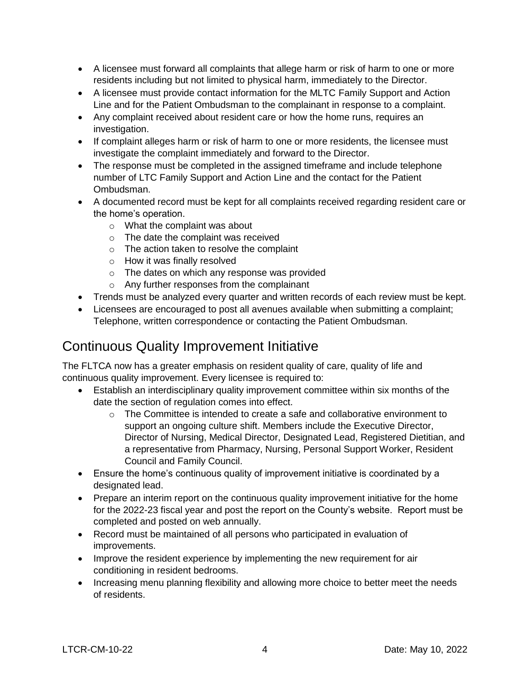- A licensee must forward all complaints that allege harm or risk of harm to one or more residents including but not limited to physical harm, immediately to the Director.
- A licensee must provide contact information for the MLTC Family Support and Action Line and for the Patient Ombudsman to the complainant in response to a complaint.
- Any complaint received about resident care or how the home runs, requires an investigation.
- If complaint alleges harm or risk of harm to one or more residents, the licensee must investigate the complaint immediately and forward to the Director.
- The response must be completed in the assigned timeframe and include telephone number of LTC Family Support and Action Line and the contact for the Patient Ombudsman.
- A documented record must be kept for all complaints received regarding resident care or the home's operation.
	- o What the complaint was about
	- o The date the complaint was received
	- o The action taken to resolve the complaint
	- o How it was finally resolved
	- o The dates on which any response was provided
	- o Any further responses from the complainant
- Trends must be analyzed every quarter and written records of each review must be kept.
- Licensees are encouraged to post all avenues available when submitting a complaint; Telephone, written correspondence or contacting the Patient Ombudsman.

## Continuous Quality Improvement Initiative

The FLTCA now has a greater emphasis on resident quality of care, quality of life and continuous quality improvement. Every licensee is required to:

- Establish an interdisciplinary quality improvement committee within six months of the date the section of regulation comes into effect.
	- $\circ$  The Committee is intended to create a safe and collaborative environment to support an ongoing culture shift. Members include the Executive Director, Director of Nursing, Medical Director, Designated Lead, Registered Dietitian, and a representative from Pharmacy, Nursing, Personal Support Worker, Resident Council and Family Council.
- Ensure the home's continuous quality of improvement initiative is coordinated by a designated lead.
- Prepare an interim report on the continuous quality improvement initiative for the home for the 2022-23 fiscal year and post the report on the County's website. Report must be completed and posted on web annually.
- Record must be maintained of all persons who participated in evaluation of improvements.
- Improve the resident experience by implementing the new requirement for air conditioning in resident bedrooms.
- Increasing menu planning flexibility and allowing more choice to better meet the needs of residents.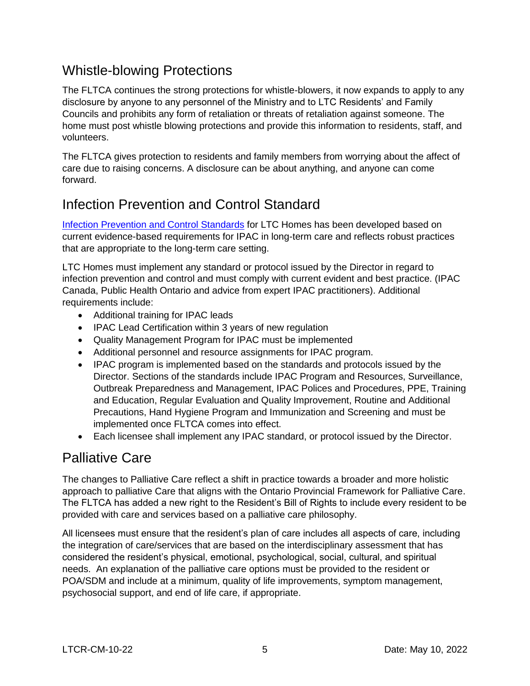#### Whistle-blowing Protections

The FLTCA continues the strong protections for whistle-blowers, it now expands to apply to any disclosure by anyone to any personnel of the Ministry and to LTC Residents' and Family Councils and prohibits any form of retaliation or threats of retaliation against someone. The home must post whistle blowing protections and provide this information to residents, staff, and volunteers.

The FLTCA gives protection to residents and family members from worrying about the affect of care due to raising concerns. A disclosure can be about anything, and anyone can come forward.

## Infection Prevention and Control Standard

[Infection Prevention and Control Standards](https://ltchomes.net/LTCHPORTAL/Content/12.%20IPAC%20Standard%20-%20EN.pdf) for LTC Homes has been developed based on current evidence-based requirements for IPAC in long-term care and reflects robust practices that are appropriate to the long-term care setting.

LTC Homes must implement any standard or protocol issued by the Director in regard to infection prevention and control and must comply with current evident and best practice. (IPAC Canada, Public Health Ontario and advice from expert IPAC practitioners). Additional requirements include:

- Additional training for IPAC leads
- IPAC Lead Certification within 3 years of new regulation
- Quality Management Program for IPAC must be implemented
- Additional personnel and resource assignments for IPAC program.
- IPAC program is implemented based on the standards and protocols issued by the Director. Sections of the standards include IPAC Program and Resources, Surveillance, Outbreak Preparedness and Management, IPAC Polices and Procedures, PPE, Training and Education, Regular Evaluation and Quality Improvement, Routine and Additional Precautions, Hand Hygiene Program and Immunization and Screening and must be implemented once FLTCA comes into effect.
- Each licensee shall implement any IPAC standard, or protocol issued by the Director.

## Palliative Care

The changes to Palliative Care reflect a shift in practice towards a broader and more holistic approach to palliative Care that aligns with the Ontario Provincial Framework for Palliative Care. The FLTCA has added a new right to the Resident's Bill of Rights to include every resident to be provided with care and services based on a palliative care philosophy.

All licensees must ensure that the resident's plan of care includes all aspects of care, including the integration of care/services that are based on the interdisciplinary assessment that has considered the resident's physical, emotional, psychological, social, cultural, and spiritual needs. An explanation of the palliative care options must be provided to the resident or POA/SDM and include at a minimum, quality of life improvements, symptom management, psychosocial support, and end of life care, if appropriate.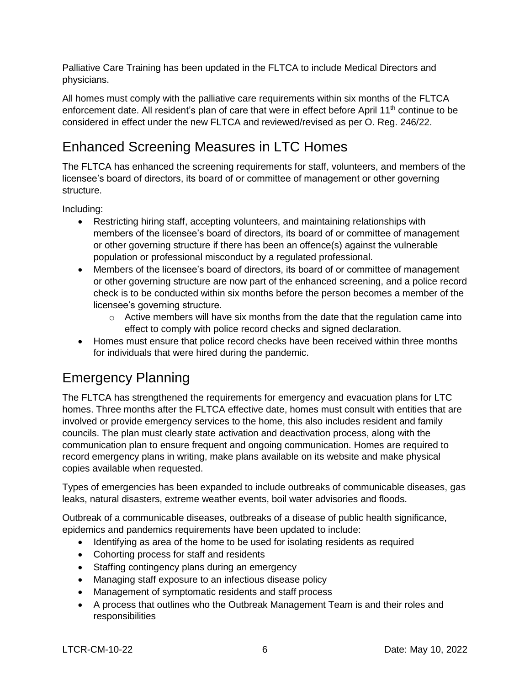Palliative Care Training has been updated in the FLTCA to include Medical Directors and physicians.

All homes must comply with the palliative care requirements within six months of the FLTCA enforcement date. All resident's plan of care that were in effect before April 11<sup>th</sup> continue to be considered in effect under the new FLTCA and reviewed/revised as per O. Reg. 246/22.

# Enhanced Screening Measures in LTC Homes

The FLTCA has enhanced the screening requirements for staff, volunteers, and members of the licensee's board of directors, its board of or committee of management or other governing structure.

Including:

- Restricting hiring staff, accepting volunteers, and maintaining relationships with members of the licensee's board of directors, its board of or committee of management or other governing structure if there has been an offence(s) against the vulnerable population or professional misconduct by a regulated professional.
- Members of the licensee's board of directors, its board of or committee of management or other governing structure are now part of the enhanced screening, and a police record check is to be conducted within six months before the person becomes a member of the licensee's governing structure.
	- $\circ$  Active members will have six months from the date that the regulation came into effect to comply with police record checks and signed declaration.
- Homes must ensure that police record checks have been received within three months for individuals that were hired during the pandemic.

## Emergency Planning

The FLTCA has strengthened the requirements for emergency and evacuation plans for LTC homes. Three months after the FLTCA effective date, homes must consult with entities that are involved or provide emergency services to the home, this also includes resident and family councils. The plan must clearly state activation and deactivation process, along with the communication plan to ensure frequent and ongoing communication. Homes are required to record emergency plans in writing, make plans available on its website and make physical copies available when requested.

Types of emergencies has been expanded to include outbreaks of communicable diseases, gas leaks, natural disasters, extreme weather events, boil water advisories and floods.

Outbreak of a communicable diseases, outbreaks of a disease of public health significance, epidemics and pandemics requirements have been updated to include:

- Identifying as area of the home to be used for isolating residents as required
- Cohorting process for staff and residents
- Staffing contingency plans during an emergency
- Managing staff exposure to an infectious disease policy
- Management of symptomatic residents and staff process
- A process that outlines who the Outbreak Management Team is and their roles and responsibilities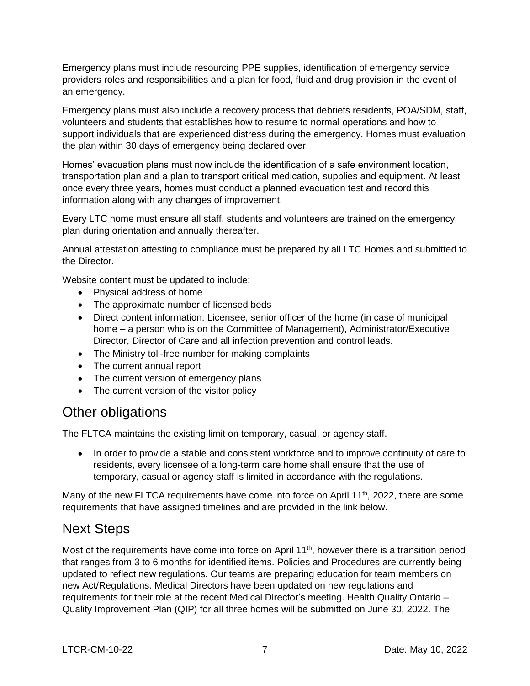Emergency plans must include resourcing PPE supplies, identification of emergency service providers roles and responsibilities and a plan for food, fluid and drug provision in the event of an emergency.

Emergency plans must also include a recovery process that debriefs residents, POA/SDM, staff, volunteers and students that establishes how to resume to normal operations and how to support individuals that are experienced distress during the emergency. Homes must evaluation the plan within 30 days of emergency being declared over.

Homes' evacuation plans must now include the identification of a safe environment location, transportation plan and a plan to transport critical medication, supplies and equipment. At least once every three years, homes must conduct a planned evacuation test and record this information along with any changes of improvement.

Every LTC home must ensure all staff, students and volunteers are trained on the emergency plan during orientation and annually thereafter.

Annual attestation attesting to compliance must be prepared by all LTC Homes and submitted to the Director.

Website content must be updated to include:

- Physical address of home
- The approximate number of licensed beds
- Direct content information: Licensee, senior officer of the home (in case of municipal home – a person who is on the Committee of Management), Administrator/Executive Director, Director of Care and all infection prevention and control leads.
- The Ministry toll-free number for making complaints
- The current annual report
- The current version of emergency plans
- The current version of the visitor policy

#### Other obligations

The FLTCA maintains the existing limit on temporary, casual, or agency staff.

• In order to provide a stable and consistent workforce and to improve continuity of care to residents, every licensee of a long-term care home shall ensure that the use of temporary, casual or agency staff is limited in accordance with the regulations.

Many of the new FLTCA requirements have come into force on April 11<sup>th</sup>, 2022, there are some requirements that have assigned timelines and are provided in the link below.

#### Next Steps

Most of the requirements have come into force on April 11<sup>th</sup>, however there is a transition period that ranges from 3 to 6 months for identified items. Policies and Procedures are currently being updated to reflect new regulations. Our teams are preparing education for team members on new Act/Regulations. Medical Directors have been updated on new regulations and requirements for their role at the recent Medical Director's meeting. Health Quality Ontario – Quality Improvement Plan (QIP) for all three homes will be submitted on June 30, 2022. The